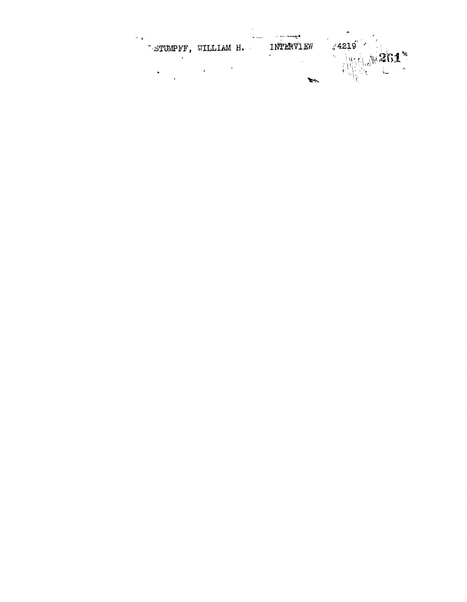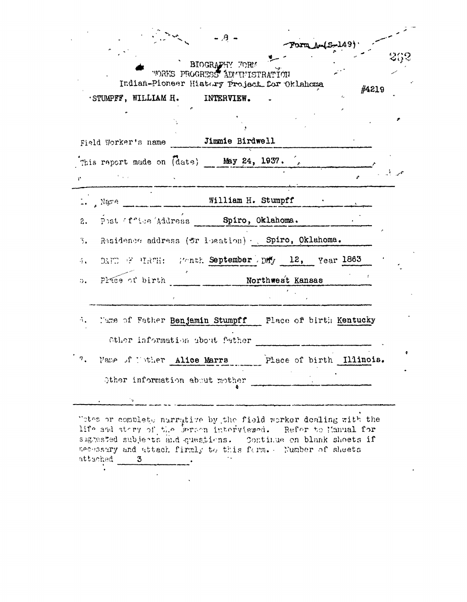|                  |                                                                                                                                                                                                                                                                                                                                            | $-A$ , $A$<br>BIOGRAPHY FORM<br><b>WORKS PROGRESS ADMINISTRATION</b> | Form Am(S-149). |       |  |
|------------------|--------------------------------------------------------------------------------------------------------------------------------------------------------------------------------------------------------------------------------------------------------------------------------------------------------------------------------------------|----------------------------------------------------------------------|-----------------|-------|--|
|                  | Indian-Pioneer History Project for Oklahoma<br>STUMPFF, WILLIAM H. INTERVIEW.                                                                                                                                                                                                                                                              |                                                                      |                 | #4219 |  |
|                  |                                                                                                                                                                                                                                                                                                                                            |                                                                      |                 |       |  |
|                  | Field Worker's name <b>Jimmie Birdwell</b>                                                                                                                                                                                                                                                                                                 |                                                                      |                 |       |  |
|                  | This report made on (date) May 24, 1937.                                                                                                                                                                                                                                                                                                   |                                                                      |                 |       |  |
| ¥.               |                                                                                                                                                                                                                                                                                                                                            |                                                                      |                 |       |  |
|                  | $\cdots$ , Name $\cdots$ $\cdots$ $\cdots$ $\cdots$ $\cdots$ $\cdots$ $\cdots$ $\cdots$ $\cdots$ $\cdots$ $\cdots$ $\cdots$ $\cdots$ $\cdots$ $\cdots$ $\cdots$ $\cdots$ $\cdots$ $\cdots$ $\cdots$ $\cdots$ $\cdots$ $\cdots$ $\cdots$ $\cdots$ $\cdots$ $\cdots$ $\cdots$ $\cdots$ $\cdots$ $\cdots$ $\cdots$ $\cdots$ $\cdots$ $\cdots$ |                                                                      |                 |       |  |
| 2.               | Post ffice Address Spiro, Oklahoma.                                                                                                                                                                                                                                                                                                        |                                                                      |                 |       |  |
| 3.               | Residence address (fr leation) - Spiro, Oklahoma.                                                                                                                                                                                                                                                                                          |                                                                      |                 |       |  |
| 4.               | DAFE E HRTH: Worth September Day 12, Year 1863                                                                                                                                                                                                                                                                                             |                                                                      |                 |       |  |
| э.               | Place of birth                                                                                                                                                                                                                                                                                                                             | Northwest Kansas                                                     |                 |       |  |
|                  |                                                                                                                                                                                                                                                                                                                                            |                                                                      |                 |       |  |
|                  | Mame of Father Benjamin Stumpff - Place of birth Kentucky                                                                                                                                                                                                                                                                                  |                                                                      |                 |       |  |
|                  | Other information about father                                                                                                                                                                                                                                                                                                             |                                                                      |                 |       |  |
| $\sigma_{\star}$ | Mame of Tother Alice Marrs Place of birth Illinois.                                                                                                                                                                                                                                                                                        |                                                                      |                 |       |  |
|                  | Other information about mother                                                                                                                                                                                                                                                                                                             |                                                                      |                 |       |  |
|                  | ੰ ਪ                                                                                                                                                                                                                                                                                                                                        | the control of the control of the control of                         |                 |       |  |

"otes or complete narrative by the field worker dealing with the life and stary of the Derson interviewed. Refer to Manual for signested subjects and questions. Continue on blank shoets if necessary and attach firmly to this ferm. Number of sheets  $\mathcal{L}_{\rm{max}}$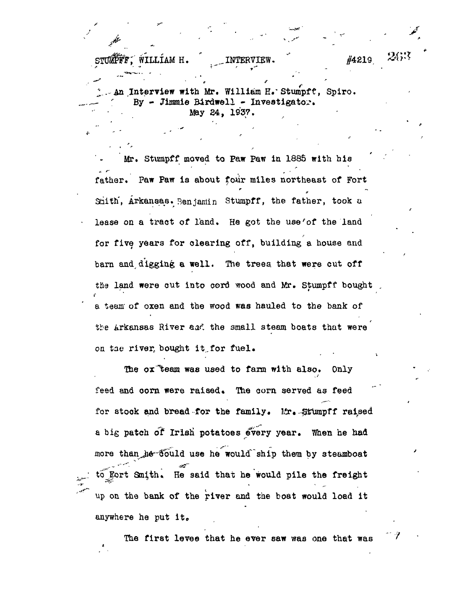متنهر

. An Interview with Mr. William K.'Stumpff, Spiro. By - Jimmie Birdwell - Investigator. May 24, 193?.

Mr. Stumpff moved to Paw Paw in 1886 with his father. Paw Paw is about four miles northeast of Fort Smith, Arkansas. Benjamin Stumpff, the father, took a lease on a tract of land. He got the use'of the land for five years for clearing off, building a house and barn and digging a well. The trees, that were cut off the land were cut into cord wood and Mr. Stumpff bought a team' of oxen and the wood was hauled to the bank of the Arkansas River and the small steam boats that were on tae river, bought it,for fuel.

The ox "team was used to farm with also. Only feed and corn were raised. The corn served as feed for stock and bread for the family. Mr. Stumpff raised a big patch of Irish potatoes every year. When he had more than he fould use he would ship them by steamboat to fort Smith. He said that he would pile the freight up on the bank of the river and the boat would load it anywhere he put it.

The first levee that he ever saw was one that was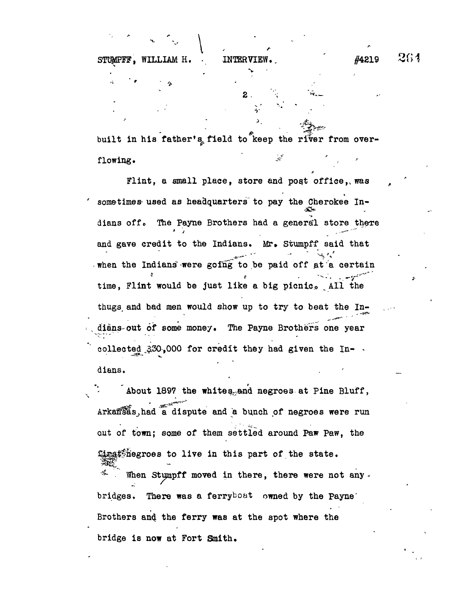2 -  $\frac{1}{2}$ 

v

 $\frac{1}{2}$ 

**I**

 $\frac{p}{2}$ 

**STUMPFF** 

built in his father's field to keep the river from overflowing. *Figure 1* 

Flint, a small place, store and post office,, was sometimes used as headquarters to pay the Cherokee In-•£2\* dians off. The Payne Brothers had a general store there and gave credit to the Indians. Mr. Stumpff said that and gave credit to the Indians. Mrs $\mathcal{L} = \{ \mathcal{L} \mid \mathcal{L} \in \mathcal{L} \}$ when the Indians were going to be paid off at a certain time, Flint would be just like a big picnic. All the thugs and bad men would show up to try to beat the In- $\frac{1}{\sqrt{2}}$  thus, and bad men would show up to try to try to beat the Indians out of some money. The Payne Brothers one year " dianographic money. The Payne Brothers one year and the Payne Brothers one year and the Payne Brothers one year. collected  $350,000$  for credit they had given the Indians.

About 1897 the whites and negroes at Pine Bluff, About 1897 the whites-.<br>About 1897 the whites-. Arkansas, had a dispute and a bunch of negroes were run out of town; some of them settled around Paw Paw, the gast hegroes to live in this part of the state. When Stumpff moved in there, there were not any. bridges. There was a ferryboat owned by the Payne Brothers and the ferry was at the spot where the bridge is now at Fort Smith.